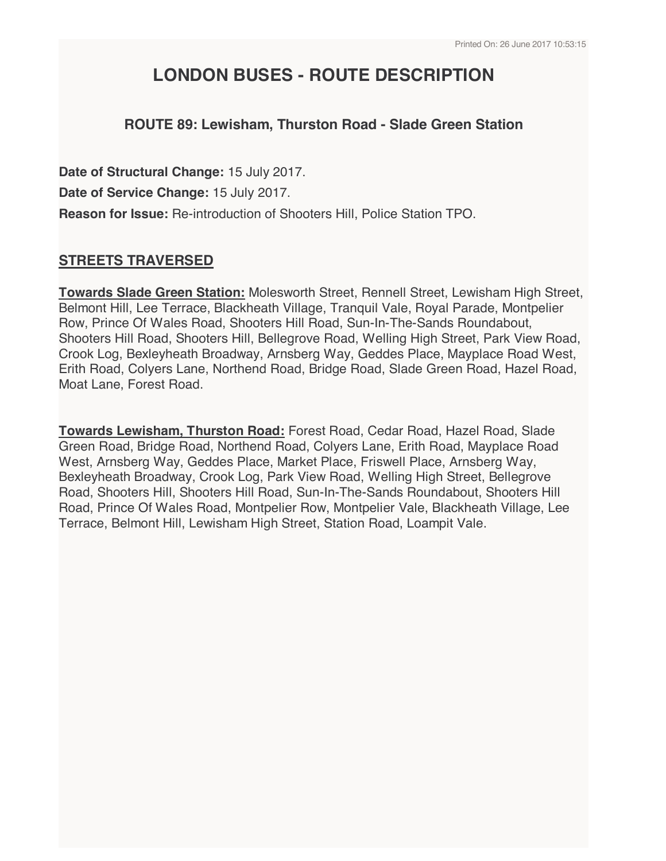# **LONDON BUSES - ROUTE DESCRIPTION**

# **ROUTE 89: Lewisham, Thurston Road - Slade Green Station**

**Date of Structural Change:** 15 July 2017. **Date of Service Change:** 15 July 2017. **Reason for Issue:** Re-introduction of Shooters Hill, Police Station TPO.

# **STREETS TRAVERSED**

**Towards Slade Green Station:** Molesworth Street, Rennell Street, Lewisham High Street, Belmont Hill, Lee Terrace, Blackheath Village, Tranquil Vale, Royal Parade, Montpelier Row, Prince Of Wales Road, Shooters Hill Road, Sun-In-The-Sands Roundabout, Shooters Hill Road, Shooters Hill, Bellegrove Road, Welling High Street, Park View Road, Crook Log, Bexleyheath Broadway, Arnsberg Way, Geddes Place, Mayplace Road West, Erith Road, Colyers Lane, Northend Road, Bridge Road, Slade Green Road, Hazel Road, Moat Lane, Forest Road.

**Towards Lewisham, Thurston Road:** Forest Road, Cedar Road, Hazel Road, Slade Green Road, Bridge Road, Northend Road, Colyers Lane, Erith Road, Mayplace Road West, Arnsberg Way, Geddes Place, Market Place, Friswell Place, Arnsberg Way, Bexleyheath Broadway, Crook Log, Park View Road, Welling High Street, Bellegrove Road, Shooters Hill, Shooters Hill Road, Sun-In-The-Sands Roundabout, Shooters Hill Road, Prince Of Wales Road, Montpelier Row, Montpelier Vale, Blackheath Village, Lee Terrace, Belmont Hill, Lewisham High Street, Station Road, Loampit Vale.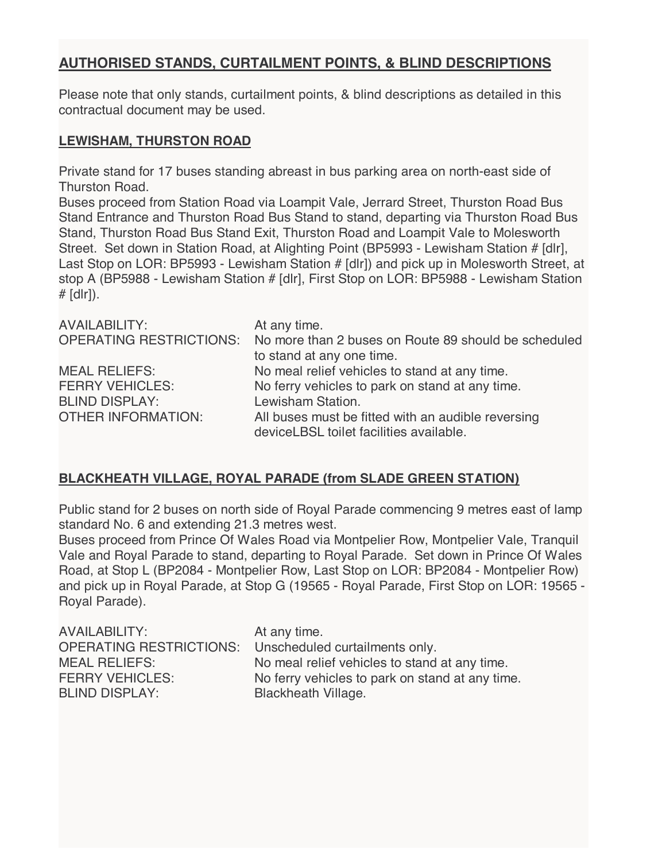# **AUTHORISED STANDS, CURTAILMENT POINTS, & BLIND DESCRIPTIONS**

Please note that only stands, curtailment points, & blind descriptions as detailed in this contractual document may be used.

### **LEWISHAM, THURSTON ROAD**

Private stand for 17 buses standing abreast in bus parking area on north-east side of Thurston Road.

Buses proceed from Station Road via Loampit Vale, Jerrard Street, Thurston Road Bus Stand Entrance and Thurston Road Bus Stand to stand, departing via Thurston Road Bus Stand, Thurston Road Bus Stand Exit, Thurston Road and Loampit Vale to Molesworth Street. Set down in Station Road, at Alighting Point (BP5993 - Lewisham Station # [dlr], Last Stop on LOR: BP5993 - Lewisham Station # [dlr]) and pick up in Molesworth Street, at stop A (BP5988 - Lewisham Station # [dlr], First Stop on LOR: BP5988 - Lewisham Station  $#$  [dlr]).

| <b>AVAILABILITY:</b>           | At any time.                                                                                  |
|--------------------------------|-----------------------------------------------------------------------------------------------|
| <b>OPERATING RESTRICTIONS:</b> | No more than 2 buses on Route 89 should be scheduled                                          |
|                                | to stand at any one time.                                                                     |
| <b>MEAL RELIEFS:</b>           | No meal relief vehicles to stand at any time.                                                 |
| <b>FERRY VEHICLES:</b>         | No ferry vehicles to park on stand at any time.                                               |
| <b>BLIND DISPLAY:</b>          | Lewisham Station.                                                                             |
| <b>OTHER INFORMATION:</b>      | All buses must be fitted with an audible reversing<br>deviceLBSL toilet facilities available. |

## **BLACKHEATH VILLAGE, ROYAL PARADE (from SLADE GREEN STATION)**

Public stand for 2 buses on north side of Royal Parade commencing 9 metres east of lamp standard No. 6 and extending 21.3 metres west.

Buses proceed from Prince Of Wales Road via Montpelier Row, Montpelier Vale, Tranquil Vale and Royal Parade to stand, departing to Royal Parade. Set down in Prince Of Wales Road, at Stop L (BP2084 - Montpelier Row, Last Stop on LOR: BP2084 - Montpelier Row) and pick up in Royal Parade, at Stop G (19565 - Royal Parade, First Stop on LOR: 19565 - Royal Parade).

| AVAILABILITY:          | At any time.                                           |
|------------------------|--------------------------------------------------------|
|                        | OPERATING RESTRICTIONS: Unscheduled curtailments only. |
| MEAL RELIEFS:          | No meal relief vehicles to stand at any time.          |
| <b>FERRY VEHICLES:</b> | No ferry vehicles to park on stand at any time.        |
| <b>BLIND DISPLAY:</b>  | <b>Blackheath Village.</b>                             |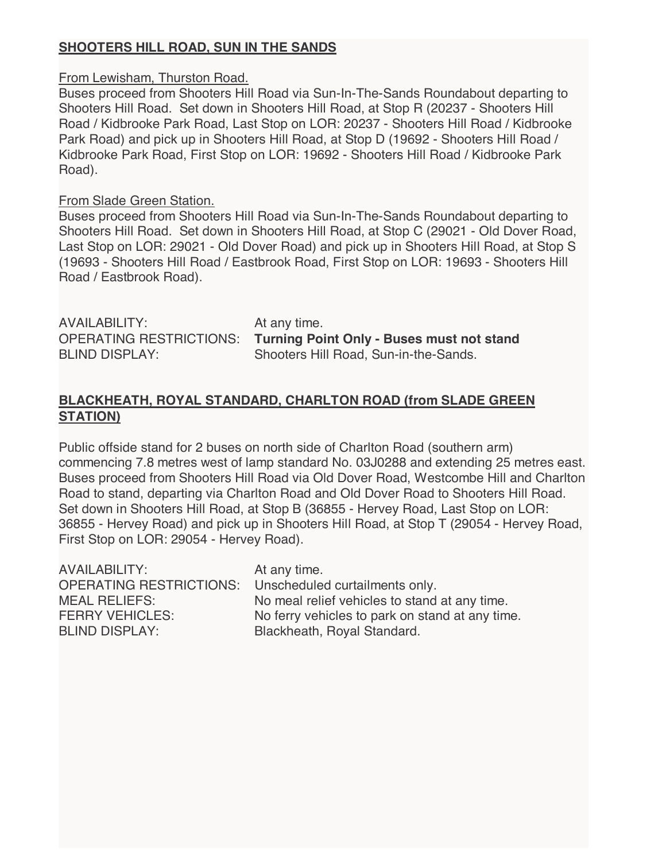# **SHOOTERS HILL ROAD, SUN IN THE SANDS**

### From Lewisham, Thurston Road.

Buses proceed from Shooters Hill Road via Sun-In-The-Sands Roundabout departing to Shooters Hill Road. Set down in Shooters Hill Road, at Stop R (20237 - Shooters Hill Road / Kidbrooke Park Road, Last Stop on LOR: 20237 - Shooters Hill Road / Kidbrooke Park Road) and pick up in Shooters Hill Road, at Stop D (19692 - Shooters Hill Road / Kidbrooke Park Road, First Stop on LOR: 19692 - Shooters Hill Road / Kidbrooke Park Road).

### From Slade Green Station.

Buses proceed from Shooters Hill Road via Sun-In-The-Sands Roundabout departing to Shooters Hill Road. Set down in Shooters Hill Road, at Stop C (29021 - Old Dover Road, Last Stop on LOR: 29021 - Old Dover Road) and pick up in Shooters Hill Road, at Stop S (19693 - Shooters Hill Road / Eastbrook Road, First Stop on LOR: 19693 - Shooters Hill Road / Eastbrook Road).

AVAILABILITY: At any time.

OPERATING RESTRICTIONS: **Turning Point Only - Buses must not stand** BLIND DISPLAY: Shooters Hill Road, Sun-in-the-Sands.

## **BLACKHEATH, ROYAL STANDARD, CHARLTON ROAD (from SLADE GREEN STATION)**

Public offside stand for 2 buses on north side of Charlton Road (southern arm) commencing 7.8 metres west of lamp standard No. 03J0288 and extending 25 metres east. Buses proceed from Shooters Hill Road via Old Dover Road, Westcombe Hill and Charlton Road to stand, departing via Charlton Road and Old Dover Road to Shooters Hill Road. Set down in Shooters Hill Road, at Stop B (36855 - Hervey Road, Last Stop on LOR: 36855 - Hervey Road) and pick up in Shooters Hill Road, at Stop T (29054 - Hervey Road, First Stop on LOR: 29054 - Hervey Road).

| At any time.                                           |
|--------------------------------------------------------|
| OPERATING RESTRICTIONS: Unscheduled curtailments only. |
| No meal relief vehicles to stand at any time.          |
| No ferry vehicles to park on stand at any time.        |
| Blackheath, Royal Standard.                            |
|                                                        |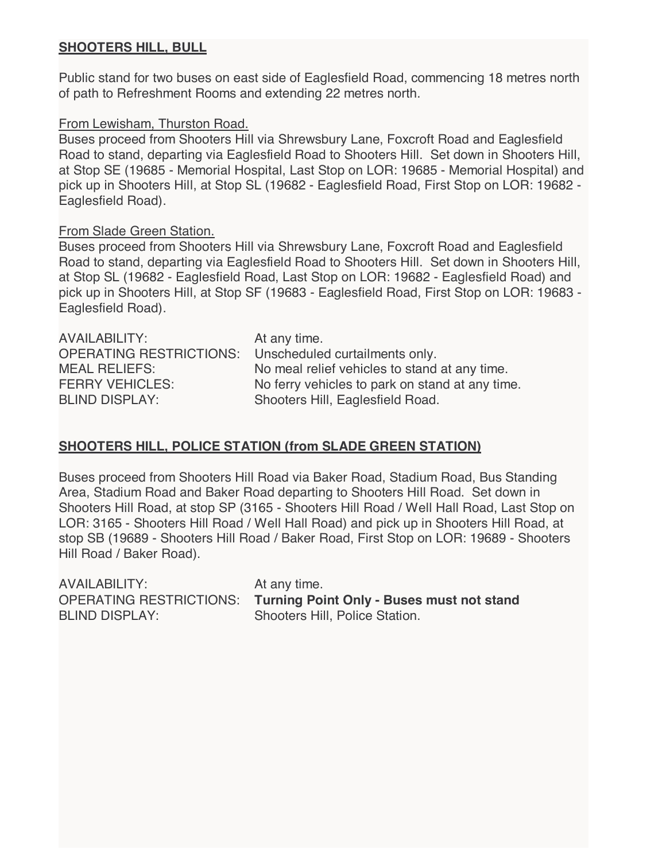## **SHOOTERS HILL, BULL**

Public stand for two buses on east side of Eaglesfield Road, commencing 18 metres north of path to Refreshment Rooms and extending 22 metres north.

### From Lewisham, Thurston Road.

Buses proceed from Shooters Hill via Shrewsbury Lane, Foxcroft Road and Eaglesfield Road to stand, departing via Eaglesfield Road to Shooters Hill. Set down in Shooters Hill, at Stop SE (19685 - Memorial Hospital, Last Stop on LOR: 19685 - Memorial Hospital) and pick up in Shooters Hill, at Stop SL (19682 - Eaglesfield Road, First Stop on LOR: 19682 - Eaglesfield Road).

### From Slade Green Station.

Buses proceed from Shooters Hill via Shrewsbury Lane, Foxcroft Road and Eaglesfield Road to stand, departing via Eaglesfield Road to Shooters Hill. Set down in Shooters Hill, at Stop SL (19682 - Eaglesfield Road, Last Stop on LOR: 19682 - Eaglesfield Road) and pick up in Shooters Hill, at Stop SF (19683 - Eaglesfield Road, First Stop on LOR: 19683 - Eaglesfield Road).

| <b>AVAILABILITY:</b>           | At any time.                                    |
|--------------------------------|-------------------------------------------------|
| <b>OPERATING RESTRICTIONS:</b> | Unscheduled curtailments only.                  |
| <b>MEAL RELIEFS:</b>           | No meal relief vehicles to stand at any time.   |
| <b>FERRY VEHICLES:</b>         | No ferry vehicles to park on stand at any time. |
| <b>BLIND DISPLAY:</b>          | Shooters Hill, Eaglesfield Road.                |

## **SHOOTERS HILL, POLICE STATION (from SLADE GREEN STATION)**

Buses proceed from Shooters Hill Road via Baker Road, Stadium Road, Bus Standing Area, Stadium Road and Baker Road departing to Shooters Hill Road. Set down in Shooters Hill Road, at stop SP (3165 - Shooters Hill Road / Well Hall Road, Last Stop on LOR: 3165 - Shooters Hill Road / Well Hall Road) and pick up in Shooters Hill Road, at stop SB (19689 - Shooters Hill Road / Baker Road, First Stop on LOR: 19689 - Shooters Hill Road / Baker Road).

| AVAILABILITY:         | At any time.                                                      |
|-----------------------|-------------------------------------------------------------------|
|                       | OPERATING RESTRICTIONS: Turning Point Only - Buses must not stand |
| <b>BLIND DISPLAY:</b> | Shooters Hill, Police Station.                                    |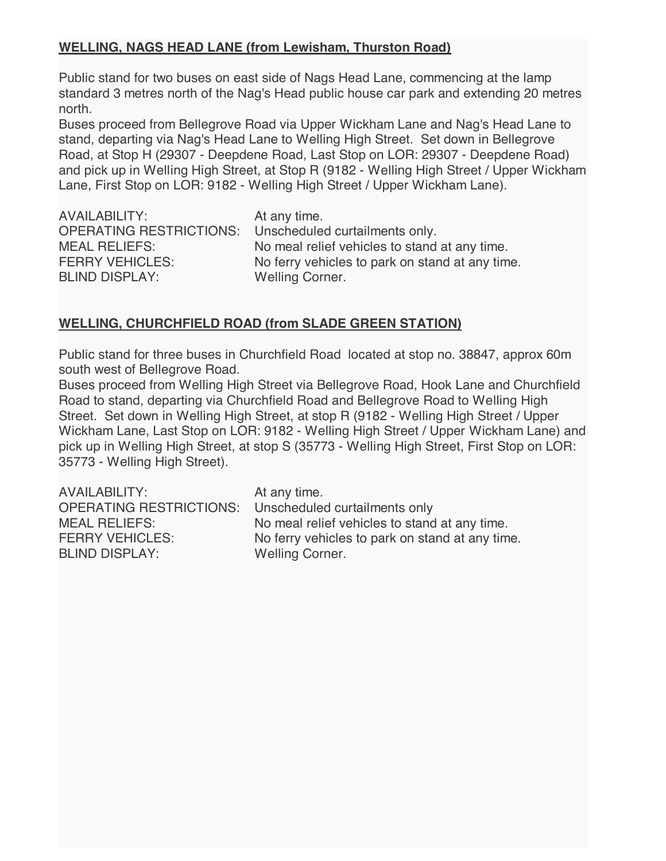# **WELLING, NAGS HEAD LANE (from Lewisham, Thurston Road)**

Public stand for two buses on east side of Nags Head Lane, commencing at the lamp standard 3 metres north of the Nag's Head public house car park and extending 20 metres north.

Buses proceed from Bellegrove Road via Upper Wickham Lane and Nag's Head Lane to stand, departing via Nag's Head Lane to Welling High Street. Set down in Bellegrove Road, at Stop H (29307 - Deepdene Road, Last Stop on LOR: 29307 - Deepdene Road) and pick up in Welling High Street, at Stop R (9182 - Welling High Street / Upper Wickham Lane, First Stop on LOR: 9182 - Welling High Street / Upper Wickham Lane).

AVAILABILITY: At any time. OPERATING RESTRICTIONS: Unscheduled curtailments only. MEAL RELIEFS: No meal relief vehicles to stand at any time. FERRY VEHICLES: No ferry vehicles to park on stand at any time. BLIND DISPLAY: Welling Corner.

# **WELLING, CHURCHFIELD ROAD (from SLADE GREEN STATION)**

Public stand for three buses in Churchfield Road located at stop no. 38847, approx 60m south west of Bellegrove Road.

Buses proceed from Welling High Street via Bellegrove Road, Hook Lane and Churchfield Road to stand, departing via Churchfield Road and Bellegrove Road to Welling High Street. Set down in Welling High Street, at stop R (9182 - Welling High Street / Upper Wickham Lane, Last Stop on LOR: 9182 - Welling High Street / Upper Wickham Lane) and pick up in Welling High Street, at stop S (35773 - Welling High Street, First Stop on LOR: 35773 - Welling High Street).

AVAILABILITY: At any time. OPERATING RESTRICTIONS: Unscheduled curtailments only MEAL RELIEFS: No meal relief vehicles to stand at any time. FERRY VEHICLES: No ferry vehicles to park on stand at any time. BLIND DISPLAY: Welling Corner.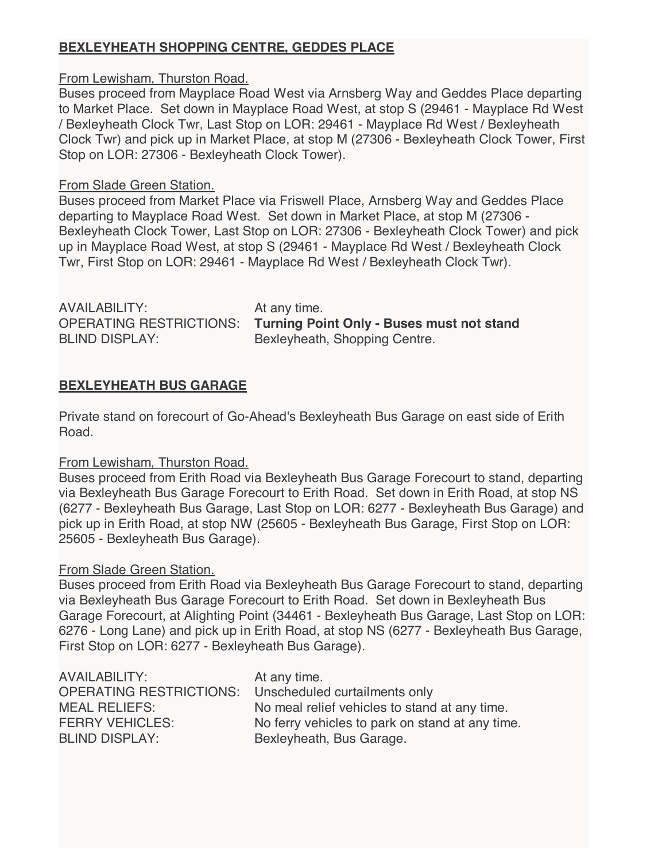# **BEXLEYHEATH SHOPPING CENTRE, GEDDES PLACE**

From Lewisham, Thurston Road.

Buses proceed from Mayplace Road West via Arnsberg Way and Geddes Place departing to Market Place. Set down in Mayplace Road West, at stop S (29461 - Mayplace Rd West / Bexleyheath Clock Twr, Last Stop on LOR: 29461 - Mayplace Rd West / Bexleyheath Clock Twr) and pick up in Market Place, at stop M (27306 - Bexleyheath Clock Tower, First Stop on LOR: 27306 - Bexleyheath Clock Tower).

### From Slade Green Station.

Buses proceed from Market Place via Friswell Place, Arnsberg Way and Geddes Place departing to Mayplace Road West. Set down in Market Place, at stop M (27306 - Bexleyheath Clock Tower, Last Stop on LOR: 27306 - Bexleyheath Clock Tower) and pick up in Mayplace Road West, at stop S (29461 - Mayplace Rd West / Bexleyheath Clock Twr, First Stop on LOR: 29461 - Mayplace Rd West / Bexleyheath Clock Twr).

AVAILABILITY: At any time. BLIND DISPLAY: Bexleyheath, Shopping Centre.

OPERATING RESTRICTIONS: **Turning Point Only - Buses must not stand**

# **BEXLEYHEATH BUS GARAGE**

Private stand on forecourt of Go-Ahead's Bexleyheath Bus Garage on east side of Erith Road.

## From Lewisham, Thurston Road.

Buses proceed from Erith Road via Bexleyheath Bus Garage Forecourt to stand, departing via Bexleyheath Bus Garage Forecourt to Erith Road. Set down in Erith Road, at stop NS (6277 - Bexleyheath Bus Garage, Last Stop on LOR: 6277 - Bexleyheath Bus Garage) and pick up in Erith Road, at stop NW (25605 - Bexleyheath Bus Garage, First Stop on LOR: 25605 - Bexleyheath Bus Garage).

## From Slade Green Station.

Buses proceed from Erith Road via Bexleyheath Bus Garage Forecourt to stand, departing via Bexleyheath Bus Garage Forecourt to Erith Road. Set down in Bexleyheath Bus Garage Forecourt, at Alighting Point (34461 - Bexleyheath Bus Garage, Last Stop on LOR: 6276 - Long Lane) and pick up in Erith Road, at stop NS (6277 - Bexleyheath Bus Garage, First Stop on LOR: 6277 - Bexleyheath Bus Garage).

| AVAILABILITY:                                                | At any time.                                    |
|--------------------------------------------------------------|-------------------------------------------------|
| <b>OPERATING RESTRICTIONS:</b> Unscheduled curtailments only |                                                 |
| <b>MEAL RELIEFS:</b>                                         | No meal relief vehicles to stand at any time.   |
| <b>FERRY VEHICLES:</b>                                       | No ferry vehicles to park on stand at any time. |
| <b>BLIND DISPLAY:</b>                                        | Bexleyheath, Bus Garage.                        |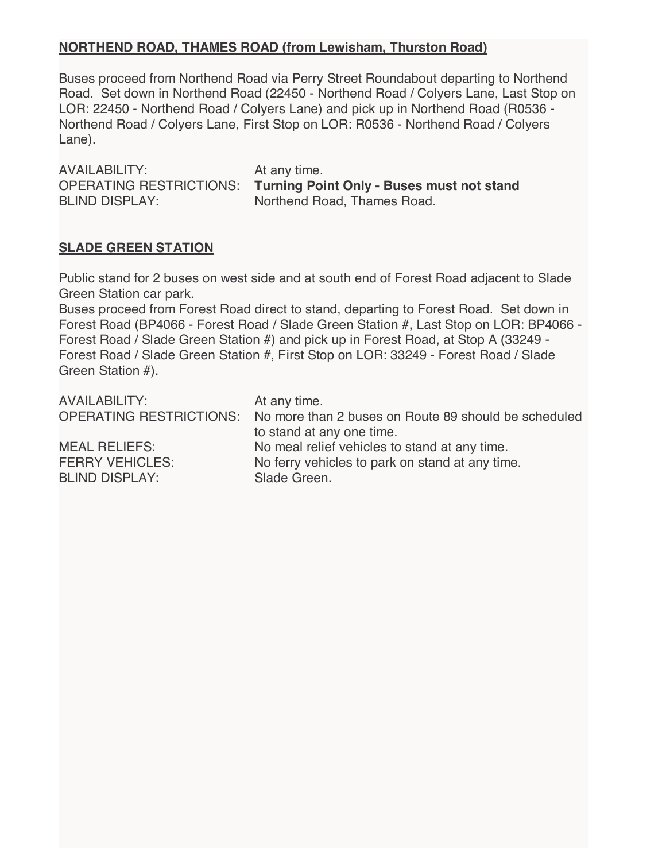## **NORTHEND ROAD, THAMES ROAD (from Lewisham, Thurston Road)**

Buses proceed from Northend Road via Perry Street Roundabout departing to Northend Road. Set down in Northend Road (22450 - Northend Road / Colyers Lane, Last Stop on LOR: 22450 - Northend Road / Colyers Lane) and pick up in Northend Road (R0536 - Northend Road / Colyers Lane, First Stop on LOR: R0536 - Northend Road / Colyers Lane).

AVAILABILITY: At any time.

OPERATING RESTRICTIONS: **Turning Point Only - Buses must not stand** BLIND DISPLAY: Northend Road, Thames Road.

# **SLADE GREEN STATION**

Public stand for 2 buses on west side and at south end of Forest Road adjacent to Slade Green Station car park.

Buses proceed from Forest Road direct to stand, departing to Forest Road. Set down in Forest Road (BP4066 - Forest Road / Slade Green Station #, Last Stop on LOR: BP4066 - Forest Road / Slade Green Station #) and pick up in Forest Road, at Stop A (33249 - Forest Road / Slade Green Station #, First Stop on LOR: 33249 - Forest Road / Slade Green Station #).

| <b>AVAILABILITY:</b>                            | At any time.<br>OPERATING RESTRICTIONS: No more than 2 buses on Route 89 should be scheduled |
|-------------------------------------------------|----------------------------------------------------------------------------------------------|
| <b>MEAL RELIEFS:</b>                            | to stand at any one time.<br>No meal relief vehicles to stand at any time.                   |
| <b>FERRY VEHICLES:</b><br><b>BLIND DISPLAY:</b> | No ferry vehicles to park on stand at any time.<br>Slade Green.                              |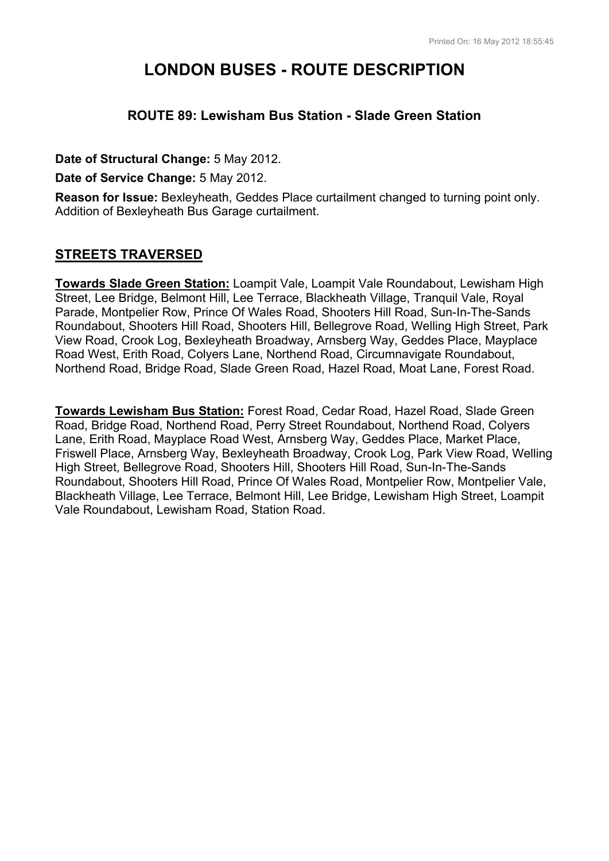# **LONDON BUSES - ROUTE DESCRIPTION**

## **ROUTE 89: Lewisham Bus Station - Slade Green Station**

**Date of Structural Change:** 5 May 2012.

**Date of Service Change:** 5 May 2012.

**Reason for Issue:** Bexleyheath, Geddes Place curtailment changed to turning point only. Addition of Bexleyheath Bus Garage curtailment.

# **STREETS TRAVERSED**

**Towards Slade Green Station:** Loampit Vale, Loampit Vale Roundabout, Lewisham High Street, Lee Bridge, Belmont Hill, Lee Terrace, Blackheath Village, Tranquil Vale, Royal Parade, Montpelier Row, Prince Of Wales Road, Shooters Hill Road, Sun-In-The-Sands Roundabout, Shooters Hill Road, Shooters Hill, Bellegrove Road, Welling High Street, Park View Road, Crook Log, Bexleyheath Broadway, Arnsberg Way, Geddes Place, Mayplace Road West, Erith Road, Colyers Lane, Northend Road, Circumnavigate Roundabout, Northend Road, Bridge Road, Slade Green Road, Hazel Road, Moat Lane, Forest Road.

**Towards Lewisham Bus Station:** Forest Road, Cedar Road, Hazel Road, Slade Green Road, Bridge Road, Northend Road, Perry Street Roundabout, Northend Road, Colyers Lane, Erith Road, Mayplace Road West, Arnsberg Way, Geddes Place, Market Place, Friswell Place, Arnsberg Way, Bexleyheath Broadway, Crook Log, Park View Road, Welling High Street, Bellegrove Road, Shooters Hill, Shooters Hill Road, Sun-In-The-Sands Roundabout, Shooters Hill Road, Prince Of Wales Road, Montpelier Row, Montpelier Vale, Blackheath Village, Lee Terrace, Belmont Hill, Lee Bridge, Lewisham High Street, Loampit Vale Roundabout, Lewisham Road, Station Road.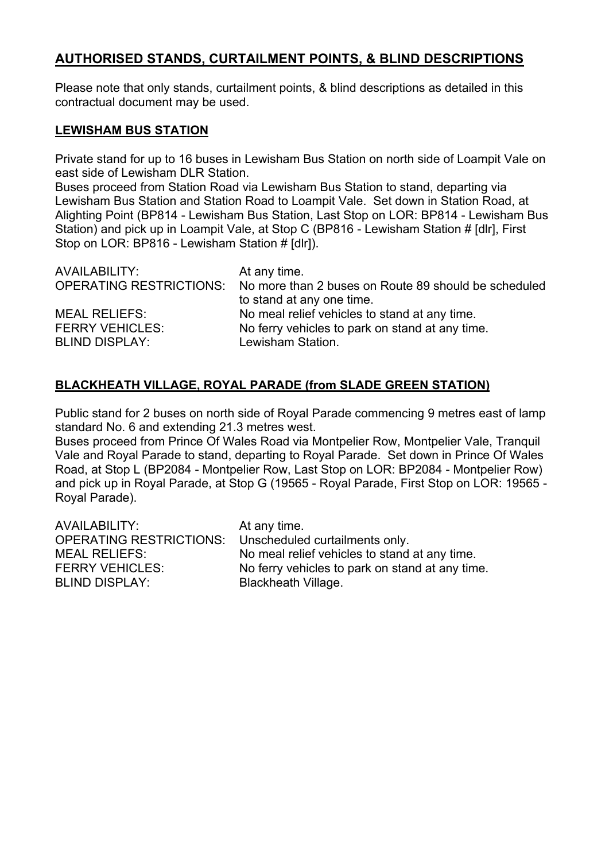# **AUTHORISED STANDS, CURTAILMENT POINTS, & BLIND DESCRIPTIONS**

Please note that only stands, curtailment points, & blind descriptions as detailed in this contractual document may be used.

### **LEWISHAM BUS STATION**

Private stand for up to 16 buses in Lewisham Bus Station on north side of Loampit Vale on east side of Lewisham DLR Station.

Buses proceed from Station Road via Lewisham Bus Station to stand, departing via Lewisham Bus Station and Station Road to Loampit Vale. Set down in Station Road, at Alighting Point (BP814 - Lewisham Bus Station, Last Stop on LOR: BP814 - Lewisham Bus Station) and pick up in Loampit Vale, at Stop C (BP816 - Lewisham Station # [dlr], First Stop on LOR: BP816 - Lewisham Station # [dlr]).

| AVAILABILITY:          | At any time.                                                                 |
|------------------------|------------------------------------------------------------------------------|
|                        | OPERATING RESTRICTIONS: No more than 2 buses on Route 89 should be scheduled |
|                        | to stand at any one time.                                                    |
| <b>MEAL RELIEFS:</b>   | No meal relief vehicles to stand at any time.                                |
| <b>FERRY VEHICLES:</b> | No ferry vehicles to park on stand at any time.                              |
| <b>BLIND DISPLAY:</b>  | Lewisham Station.                                                            |

# **BLACKHEATH VILLAGE, ROYAL PARADE (from SLADE GREEN STATION)**

Public stand for 2 buses on north side of Royal Parade commencing 9 metres east of lamp standard No. 6 and extending 21.3 metres west.

Buses proceed from Prince Of Wales Road via Montpelier Row, Montpelier Vale, Tranquil Vale and Royal Parade to stand, departing to Royal Parade. Set down in Prince Of Wales Road, at Stop L (BP2084 - Montpelier Row, Last Stop on LOR: BP2084 - Montpelier Row) and pick up in Royal Parade, at Stop G (19565 - Royal Parade, First Stop on LOR: 19565 - Royal Parade).

AVAILABILITY: At any time. OPERATING RESTRICTIONS: Unscheduled curtailments only. MEAL RELIEFS: No meal relief vehicles to stand at any time. FERRY VEHICLES: No ferry vehicles to park on stand at any time. BLIND DISPLAY: Blackheath Village.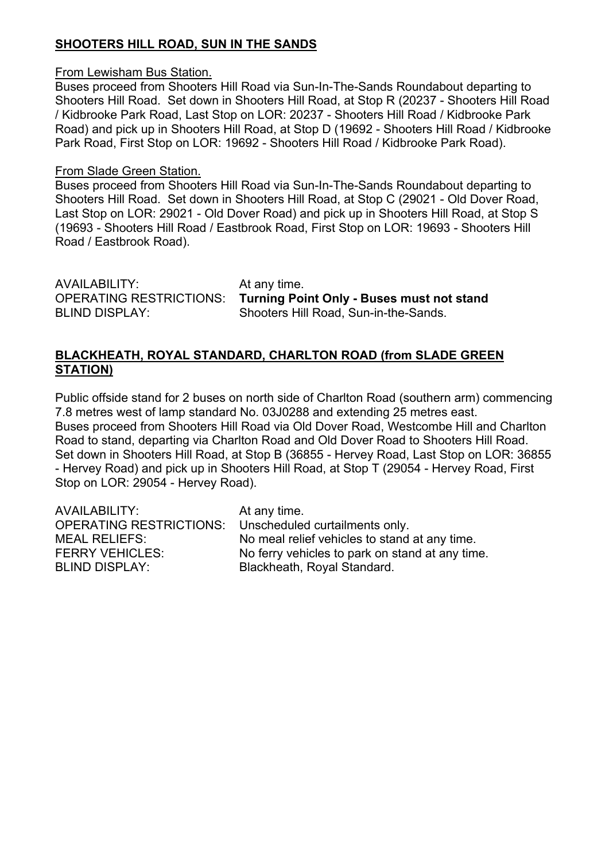# **SHOOTERS HILL ROAD, SUN IN THE SANDS**

### From Lewisham Bus Station.

Buses proceed from Shooters Hill Road via Sun-In-The-Sands Roundabout departing to Shooters Hill Road. Set down in Shooters Hill Road, at Stop R (20237 - Shooters Hill Road / Kidbrooke Park Road, Last Stop on LOR: 20237 - Shooters Hill Road / Kidbrooke Park Road) and pick up in Shooters Hill Road, at Stop D (19692 - Shooters Hill Road / Kidbrooke Park Road, First Stop on LOR: 19692 - Shooters Hill Road / Kidbrooke Park Road).

### From Slade Green Station.

Buses proceed from Shooters Hill Road via Sun-In-The-Sands Roundabout departing to Shooters Hill Road. Set down in Shooters Hill Road, at Stop C (29021 - Old Dover Road, Last Stop on LOR: 29021 - Old Dover Road) and pick up in Shooters Hill Road, at Stop S (19693 - Shooters Hill Road / Eastbrook Road, First Stop on LOR: 19693 - Shooters Hill Road / Eastbrook Road).

AVAILABILITY: At any time. OPERATING RESTRICTIONS: **Turning Point Only - Buses must not stand** BLIND DISPLAY: Shooters Hill Road, Sun-in-the-Sands.

### **BLACKHEATH, ROYAL STANDARD, CHARLTON ROAD (from SLADE GREEN STATION)**

Public offside stand for 2 buses on north side of Charlton Road (southern arm) commencing 7.8 metres west of lamp standard No. 03J0288 and extending 25 metres east. Buses proceed from Shooters Hill Road via Old Dover Road, Westcombe Hill and Charlton Road to stand, departing via Charlton Road and Old Dover Road to Shooters Hill Road. Set down in Shooters Hill Road, at Stop B (36855 - Hervey Road, Last Stop on LOR: 36855 - Hervey Road) and pick up in Shooters Hill Road, at Stop T (29054 - Hervey Road, First Stop on LOR: 29054 - Hervey Road).

| AVAILABILITY:                  | At any time.                                    |
|--------------------------------|-------------------------------------------------|
| <b>OPERATING RESTRICTIONS:</b> | Unscheduled curtailments only.                  |
| <b>MEAL RELIEFS:</b>           | No meal relief vehicles to stand at any time.   |
| <b>FERRY VEHICLES:</b>         | No ferry vehicles to park on stand at any time. |
| <b>BLIND DISPLAY:</b>          | Blackheath, Royal Standard.                     |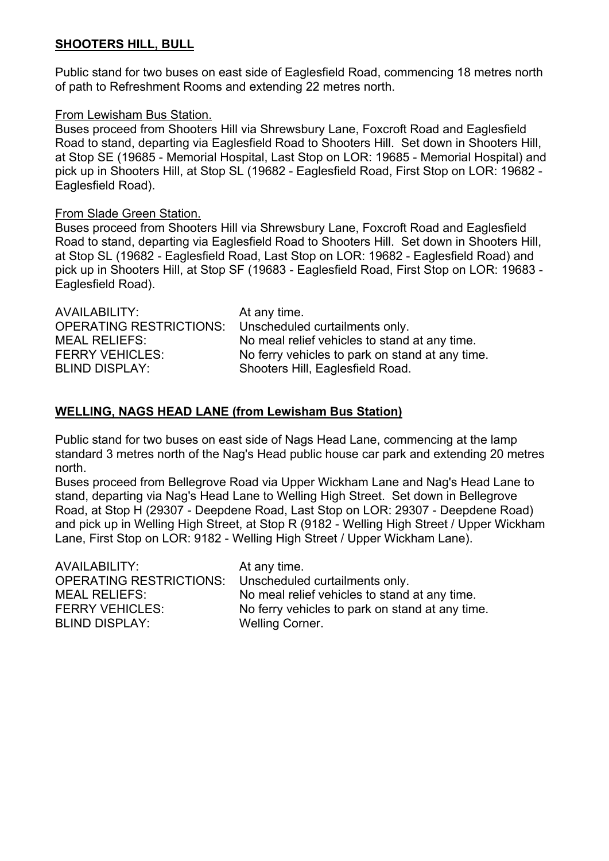## **SHOOTERS HILL, BULL**

Public stand for two buses on east side of Eaglesfield Road, commencing 18 metres north of path to Refreshment Rooms and extending 22 metres north.

### From Lewisham Bus Station.

Buses proceed from Shooters Hill via Shrewsbury Lane, Foxcroft Road and Eaglesfield Road to stand, departing via Eaglesfield Road to Shooters Hill. Set down in Shooters Hill, at Stop SE (19685 - Memorial Hospital, Last Stop on LOR: 19685 - Memorial Hospital) and pick up in Shooters Hill, at Stop SL (19682 - Eaglesfield Road, First Stop on LOR: 19682 - Eaglesfield Road).

### From Slade Green Station.

Buses proceed from Shooters Hill via Shrewsbury Lane, Foxcroft Road and Eaglesfield Road to stand, departing via Eaglesfield Road to Shooters Hill. Set down in Shooters Hill, at Stop SL (19682 - Eaglesfield Road, Last Stop on LOR: 19682 - Eaglesfield Road) and pick up in Shooters Hill, at Stop SF (19683 - Eaglesfield Road, First Stop on LOR: 19683 - Eaglesfield Road).

| No meal relief vehicles to stand at any time.   |
|-------------------------------------------------|
| No ferry vehicles to park on stand at any time. |
|                                                 |
|                                                 |

## **WELLING, NAGS HEAD LANE (from Lewisham Bus Station)**

Public stand for two buses on east side of Nags Head Lane, commencing at the lamp standard 3 metres north of the Nag's Head public house car park and extending 20 metres north.

Buses proceed from Bellegrove Road via Upper Wickham Lane and Nag's Head Lane to stand, departing via Nag's Head Lane to Welling High Street. Set down in Bellegrove Road, at Stop H (29307 - Deepdene Road, Last Stop on LOR: 29307 - Deepdene Road) and pick up in Welling High Street, at Stop R (9182 - Welling High Street / Upper Wickham Lane, First Stop on LOR: 9182 - Welling High Street / Upper Wickham Lane).

| AVAILABILITY:<br>MEAL RELIEFS: | At any time.<br>OPERATING RESTRICTIONS: Unscheduled curtailments only.<br>No meal relief vehicles to stand at any time. |
|--------------------------------|-------------------------------------------------------------------------------------------------------------------------|
| <b>FERRY VEHICLES:</b>         | No ferry vehicles to park on stand at any time.                                                                         |
| <b>BLIND DISPLAY:</b>          | <b>Welling Corner.</b>                                                                                                  |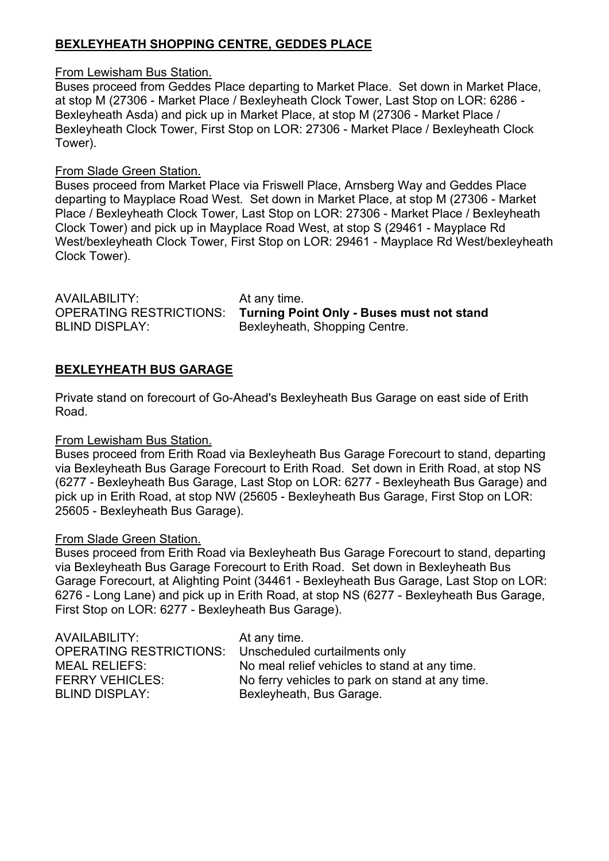# **BEXLEYHEATH SHOPPING CENTRE, GEDDES PLACE**

From Lewisham Bus Station.

Buses proceed from Geddes Place departing to Market Place. Set down in Market Place, at stop M (27306 - Market Place / Bexleyheath Clock Tower, Last Stop on LOR: 6286 - Bexleyheath Asda) and pick up in Market Place, at stop M (27306 - Market Place / Bexleyheath Clock Tower, First Stop on LOR: 27306 - Market Place / Bexleyheath Clock Tower).

### From Slade Green Station.

Buses proceed from Market Place via Friswell Place, Arnsberg Way and Geddes Place departing to Mayplace Road West. Set down in Market Place, at stop M (27306 - Market Place / Bexleyheath Clock Tower, Last Stop on LOR: 27306 - Market Place / Bexleyheath Clock Tower) and pick up in Mayplace Road West, at stop S (29461 - Mayplace Rd West/bexleyheath Clock Tower, First Stop on LOR: 29461 - Mayplace Rd West/bexleyheath Clock Tower).

| AVAILABILITY:           | At any time.                                     |
|-------------------------|--------------------------------------------------|
| OPERATING RESTRICTIONS: | <b>Turning Point Only - Buses must not stand</b> |
| BLIND DISPLAY:          | Bexleyheath, Shopping Centre.                    |

### **BEXLEYHEATH BUS GARAGE**

Private stand on forecourt of Go-Ahead's Bexleyheath Bus Garage on east side of Erith Road.

From Lewisham Bus Station.

Buses proceed from Erith Road via Bexleyheath Bus Garage Forecourt to stand, departing via Bexleyheath Bus Garage Forecourt to Erith Road. Set down in Erith Road, at stop NS (6277 - Bexleyheath Bus Garage, Last Stop on LOR: 6277 - Bexleyheath Bus Garage) and pick up in Erith Road, at stop NW (25605 - Bexleyheath Bus Garage, First Stop on LOR: 25605 - Bexleyheath Bus Garage).

#### From Slade Green Station.

Buses proceed from Erith Road via Bexleyheath Bus Garage Forecourt to stand, departing via Bexleyheath Bus Garage Forecourt to Erith Road. Set down in Bexleyheath Bus Garage Forecourt, at Alighting Point (34461 - Bexleyheath Bus Garage, Last Stop on LOR: 6276 - Long Lane) and pick up in Erith Road, at stop NS (6277 - Bexleyheath Bus Garage, First Stop on LOR: 6277 - Bexleyheath Bus Garage).

| AVAILABILITY:                  | At any time.                                    |
|--------------------------------|-------------------------------------------------|
| <b>OPERATING RESTRICTIONS:</b> | Unscheduled curtailments only                   |
| <b>MEAL RELIEFS:</b>           | No meal relief vehicles to stand at any time.   |
| <b>FERRY VEHICLES:</b>         | No ferry vehicles to park on stand at any time. |
| <b>BLIND DISPLAY:</b>          | Bexleyheath, Bus Garage.                        |